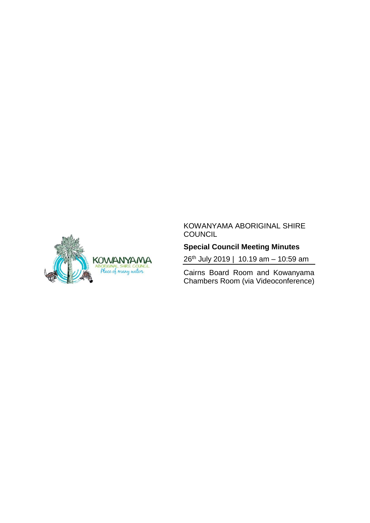

#### KOWANYAMA ABORIGINAL SHIRE **COUNCIL**

## **Special Council Meeting Minutes**

26 th July 2019 | 10.19 am – 10:59 am

Cairns Board Room and Kowanyama Chambers Room (via Videoconference)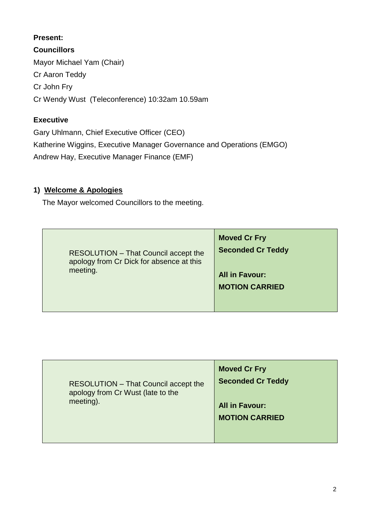#### **Present:**

**Councillors** Mayor Michael Yam (Chair) Cr Aaron Teddy Cr John Fry Cr Wendy Wust (Teleconference) 10:32am 10.59am

### **Executive**

Gary Uhlmann, Chief Executive Officer (CEO) Katherine Wiggins, Executive Manager Governance and Operations (EMGO) Andrew Hay, Executive Manager Finance (EMF)

### **1) Welcome & Apologies**

The Mayor welcomed Councillors to the meeting.

| <b>RESOLUTION - That Council accept the</b><br>apology from Cr Dick for absence at this<br>meeting. | <b>Moved Cr Fry</b><br><b>Seconded Cr Teddy</b> |
|-----------------------------------------------------------------------------------------------------|-------------------------------------------------|
|                                                                                                     | <b>All in Favour:</b><br><b>MOTION CARRIED</b>  |

| RESOLUTION - That Council accept the<br>apology from Cr Wust (late to the<br>meeting). | <b>Moved Cr Fry</b><br><b>Seconded Cr Teddy</b><br><b>All in Favour:</b><br><b>MOTION CARRIED</b> |
|----------------------------------------------------------------------------------------|---------------------------------------------------------------------------------------------------|
|                                                                                        |                                                                                                   |